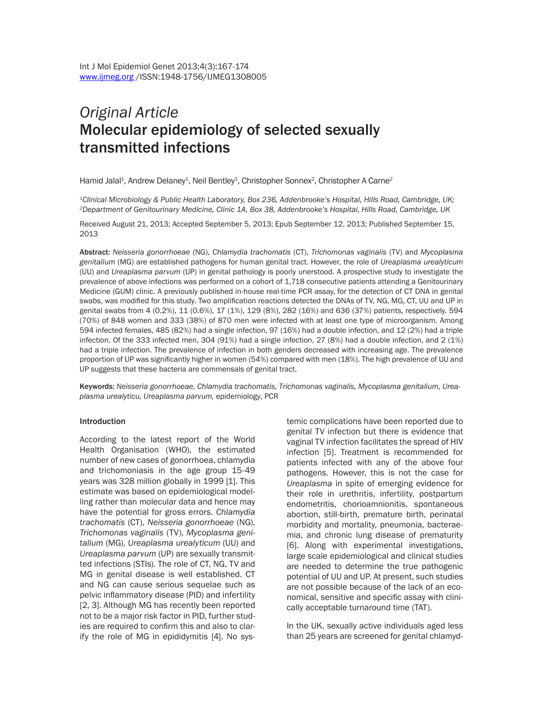# *Original Article* Molecular epidemiology of selected sexually transmitted infections

Hamid Jalal<sup>1</sup>, Andrew Delaney<sup>1</sup>, Neil Bentley<sup>1</sup>, Christopher Sonnex<sup>2</sup>, Christopher A Carne<sup>2</sup>

*1Clinical Microbiology & Public Health Laboratory, Box 236, Addenbrooke's Hospital, Hills Road, Cambridge, UK; 2Department of Genitourinary Medicine, Clinic 1A, Box 38, Addenbrooke's Hospital, Hills Road, Cambridge, UK*

Received August 21, 2013; Accepted September 5, 2013; Epub September 12, 2013; Published September 15, 2013

Abstract: *Neisseria gonorrhoeae* (NG), *Chlamydia trachomatis* (CT), *Trichomonas vaginalis* (TV) and *Mycoplasma genitalium* (MG) are established pathogens for human genital tract. However, the role of *Ureaplasma urealyticum* (UU) and *Ureaplasma parvum* (UP) in genital pathology is poorly unerstood. A prospective study to investigate the prevalence of above infections was performed on a cohort of 1,718 consecutive patients attending a Genitourinary Medicine (GUM) clinic. A previously published in-house real-time PCR assay, for the detection of CT DNA in genital swabs, was modified for this study. Two amplification reactions detected the DNAs of TV, NG, MG, CT, UU and UP in genital swabs from 4 (0.2%), 11 (0.6%), 17 (1%), 129 (8%), 282 (16%) and 636 (37%) patients, respectively. 594 (70%) of 848 women and 333 (38%) of 870 men were infected with at least one type of microorganism. Among 594 infected females, 485 (82%) had a single infection, 97 (16%) had a double infection, and 12 (2%) had a triple infection. Of the 333 infected men, 304 (91%) had a single infection, 27 (8%) had a double infection, and 2 (1%) had a triple infection. The prevalence of infection in both genders decreased with increasing age. The prevalence proportion of UP was significantly higher in women (54%) compared with men (18%). The high prevalence of UU and UP suggests that these bacteria are commensals of genital tract.

Keywords: *Neisseria gonorrhoeae, Chlamydia trachomatis, Trichomonas vaginalis, Mycoplasma genitalium, Ureaplasma urealyticu, Ureaplasma parvum,* epidemiology, PCR

#### Introduction

According to the latest report of the World Health Organisation (WHO), the estimated number of new cases of gonorrhoea, chlamydia and trichomoniasis in the age group 15-49 years was 328 million globally in 1999 [1]. This estimate was based on epidemiological modelling rather than molecular data and hence may have the potential for gross errors. *Chlamydia trachomatis* (CT), *Neisseria gonorrhoeae* (NG), *Trichomonas vaginalis* (TV), *Mycoplasma genitalium* (MG), *Ureaplasma urealyticum* (UU) and *Ureaplasma parvum* (UP) are sexually transmitted infections (STIs). The role of CT, NG, TV and MG in genital disease is well established. CT and NG can cause serious sequelae such as pelvic inflammatory disease (PID) and infertility [2, 3]. Although MG has recently been reported not to be a major risk factor in PID, further studies are required to confirm this and also to clarify the role of MG in epididymitis [4]. No systemic complications have been reported due to genital TV infection but there is evidence that vaginal TV infection facilitates the spread of HIV infection [5]. Treatment is recommended for patients infected with any of the above four pathogens. However, this is not the case for *Ureaplasma* in spite of emerging evidence for their role in urethritis, infertility, postpartum endometritis, chorioamnionitis, spontaneous abortion, still-birth, premature birth, perinatal morbidity and mortality, pneumonia, bacteraemia, and chronic lung disease of prematurity [6]. Along with experimental investigations, large scale epidemiological and clinical studies are needed to determine the true pathogenic potential of UU and UP. At present, such studies are not possible because of the lack of an economical, sensitive and specific assay with clinically acceptable turnaround time (TAT).

In the UK, sexually active individuals aged less than 25 years are screened for genital chlamyd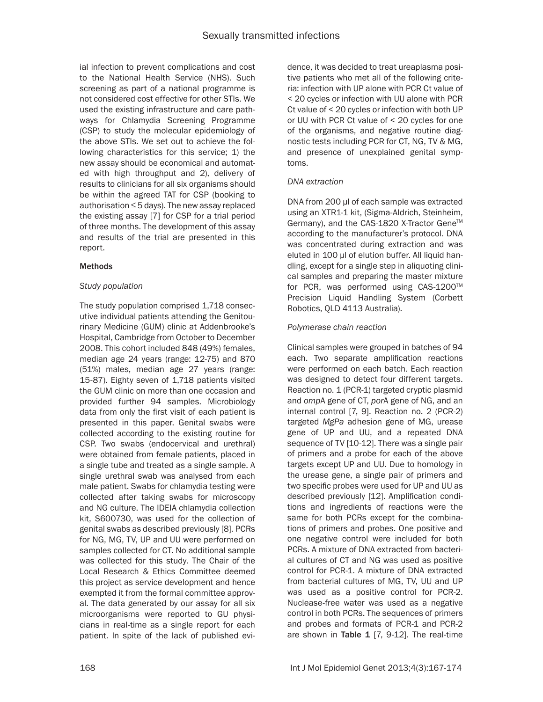ial infection to prevent complications and cost to the National Health Service (NHS). Such screening as part of a national programme is not considered cost effective for other STIs. We used the existing infrastructure and care pathways for Chlamydia Screening Programme (CSP) to study the molecular epidemiology of the above STIs. We set out to achieve the following characteristics for this service; 1) the new assay should be economical and automated with high throughput and 2), delivery of results to clinicians for all six organisms should be within the agreed TAT for CSP (booking to authorisation ≤ 5 days). The new assay replaced the existing assay [7] for CSP for a trial period of three months. The development of this assay and results of the trial are presented in this report.

### **Methods**

## *Study population*

The study population comprised 1,718 consecutive individual patients attending the Genitourinary Medicine (GUM) clinic at Addenbrooke's Hospital, Cambridge from October to December 2008. This cohort included 848 (49%) females, median age 24 years (range: 12-75) and 870 (51%) males, median age 27 years (range: 15-87). Eighty seven of 1,718 patients visited the GUM clinic on more than one occasion and provided further 94 samples. Microbiology data from only the first visit of each patient is presented in this paper. Genital swabs were collected according to the existing routine for CSP. Two swabs (endocervical and urethral) were obtained from female patients, placed in a single tube and treated as a single sample. A single urethral swab was analysed from each male patient. Swabs for chlamydia testing were collected after taking swabs for microscopy and NG culture. The IDEIA chlamydia collection kit, S600730, was used for the collection of genital swabs as described previously [8]. PCRs for NG, MG, TV, UP and UU were performed on samples collected for CT. No additional sample was collected for this study. The Chair of the Local Research & Ethics Committee deemed this project as service development and hence exempted it from the formal committee approval. The data generated by our assay for all six microorganisms were reported to GU physicians in real-time as a single report for each patient. In spite of the lack of published evidence, it was decided to treat ureaplasma positive patients who met all of the following criteria: infection with UP alone with PCR Ct value of < 20 cycles or infection with UU alone with PCR Ct value of < 20 cycles or infection with both UP or UU with PCR Ct value of < 20 cycles for one of the organisms, and negative routine diagnostic tests including PCR for CT, NG, TV & MG, and presence of unexplained genital symptoms.

### *DNA extraction*

DNA from 200 µl of each sample was extracted using an XTR1-1 kit, (Sigma-Aldrich, Steinheim, Germany), and the CAS-1820 X-Tractor Gene™ according to the manufacturer's protocol. DNA was concentrated during extraction and was eluted in 100 µl of elution buffer. All liquid handling, except for a single step in aliquoting clinical samples and preparing the master mixture for PCR, was performed using CAS-1200™ Precision Liquid Handling System (Corbett Robotics, QLD 4113 Australia).

### *Polymerase chain reaction*

Clinical samples were grouped in batches of 94 each. Two separate amplification reactions were performed on each batch. Each reaction was designed to detect four different targets. Reaction no. 1 (PCR-1) targeted cryptic plasmid and *omp*A gene of CT, *por*A gene of NG, and an internal control [7, 9]. Reaction no. 2 (PCR-2) targeted *MgPa* adhesion gene of MG, urease gene of UP and UU, and a repeated DNA sequence of TV [10-12]. There was a single pair of primers and a probe for each of the above targets except UP and UU. Due to homology in the urease gene, a single pair of primers and two specific probes were used for UP and UU as described previously [12]. Amplification conditions and ingredients of reactions were the same for both PCRs except for the combinations of primers and probes. One positive and one negative control were included for both PCRs. A mixture of DNA extracted from bacterial cultures of CT and NG was used as positive control for PCR-1. A mixture of DNA extracted from bacterial cultures of MG, TV, UU and UP was used as a positive control for PCR-2. Nuclease-free water was used as a negative control in both PCRs. The sequences of primers and probes and formats of PCR-1 and PCR-2 are shown in Table  $1$  [7, 9-12]. The real-time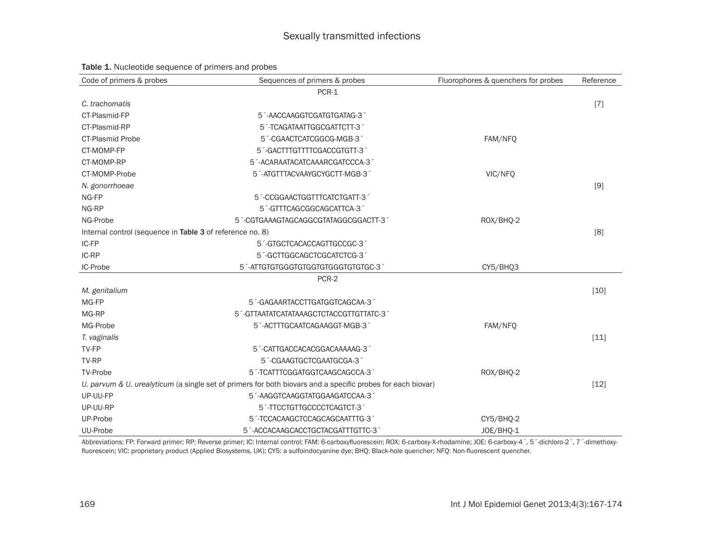| Code of primers & probes                                  | Sequences of primers & probes                                                                                 | Fluorophores & quenchers for probes | Reference |  |  |  |  |
|-----------------------------------------------------------|---------------------------------------------------------------------------------------------------------------|-------------------------------------|-----------|--|--|--|--|
|                                                           | PCR-1                                                                                                         |                                     |           |  |  |  |  |
| C. trachomatis                                            |                                                                                                               |                                     | $[7]$     |  |  |  |  |
| CT-Plasmid-FP                                             | 5 <sup>-</sup> AACCAAGGTCGATGTGATAG-3                                                                         |                                     |           |  |  |  |  |
| CT-Plasmid-RP                                             | 5 <sup>1</sup> -TCAGATAATTGGCGATTCTT-3                                                                        |                                     |           |  |  |  |  |
| <b>CT-Plasmid Probe</b>                                   | 5 <sup>1</sup> -CGAACTCATCGGCG-MGB-31                                                                         | FAM/NFQ                             |           |  |  |  |  |
| CT-MOMP-FP                                                | 5 <sup>1</sup> -GACTTTGTTTTCGACCGTGTT-31                                                                      |                                     |           |  |  |  |  |
| CT-MOMP-RP                                                | 5 <sup>2</sup> -ACARAATACATCAAARCGATCCCA-3                                                                    |                                     |           |  |  |  |  |
| CT-MOMP-Probe                                             | 5 <sup>-</sup> ATGTTTACVAAYGCYGCTT-MGB-3                                                                      | VIC/NFQ                             |           |  |  |  |  |
| N. gonorrhoeae                                            |                                                                                                               |                                     | $[9]$     |  |  |  |  |
| NG-FP                                                     | 5 <sup>1</sup> -CCGGAACTGGTTTCATCTGATT-31                                                                     |                                     |           |  |  |  |  |
| NG-RP                                                     | 5 <sup>-</sup> GTTTCAGCGGCAGCATTCA-3 <sup>-</sup>                                                             |                                     |           |  |  |  |  |
| NG-Probe                                                  | 5 <sup>1</sup> -CGTGAAAGTAGCAGGCGTATAGGCGGACTT-3 <sup>1</sup>                                                 | ROX/BHQ-2                           |           |  |  |  |  |
| Internal control (sequence in Table 3 of reference no. 8) |                                                                                                               |                                     |           |  |  |  |  |
| IC-FP                                                     | 5 <sup>1</sup> -GTGCTCACACCAGTTGCCGC-31                                                                       |                                     |           |  |  |  |  |
| IC-RP                                                     | 5 <sup>1</sup> -GCTTGGCAGCTCGCATCTCG-31                                                                       |                                     |           |  |  |  |  |
| IC-Probe                                                  | 5 <sup>2</sup> -ATTGTGTGGGTGTGGGTGTGGGTGTGTGC-3                                                               | CY5/BHQ3                            |           |  |  |  |  |
|                                                           | PCR-2                                                                                                         |                                     |           |  |  |  |  |
| M. genitalium                                             |                                                                                                               |                                     | $[10]$    |  |  |  |  |
| MG-FP                                                     | 5 <sup>-</sup> GAGAARTACCTTGATGGTCAGCAA-3 <sup>-</sup>                                                        |                                     |           |  |  |  |  |
| MG-RP                                                     | 5 <sup>-</sup> GTTAATATCATATAAAGCTCTACCGTTGTTATC-3                                                            |                                     |           |  |  |  |  |
| MG-Probe                                                  | 5 <sup>-</sup> ACTTTGCAATCAGAAGGT-MGB-3                                                                       | FAM/NFQ                             |           |  |  |  |  |
| T. vaginalis                                              |                                                                                                               |                                     | $[11]$    |  |  |  |  |
| TV-FP                                                     | 5 <sup>-</sup> CATTGACCACACGGACAAAAAG-3                                                                       |                                     |           |  |  |  |  |
| TV-RP                                                     | 5 <sup>-</sup> CGAAGTGCTCGAATGCGA-3                                                                           |                                     |           |  |  |  |  |
| <b>TV-Probe</b>                                           | 5 <sup>1</sup> -TCATTTCGGATGGTCAAGCAGCCA-3 <sup>1</sup>                                                       | ROX/BHQ-2                           |           |  |  |  |  |
|                                                           | U. parvum $& U.$ urealyticum (a single set of primers for both biovars and a specific probes for each biovar) |                                     |           |  |  |  |  |
| UP-UU-FP                                                  | 5 <sup>-</sup> AAGGTCAAGGTATGGAAGATCCAA-3                                                                     |                                     |           |  |  |  |  |
| UP-UU-RP                                                  | 5 - TTCCTGTTGCCCCTCAGTCT-3                                                                                    |                                     |           |  |  |  |  |
| UP-Probe                                                  | 5 <sup>2</sup> -TCCACAAGCTCCAGCAGCAATTTG-3                                                                    | CY5/BHQ-2                           |           |  |  |  |  |
| UU-Probe                                                  | 5 <sup>-</sup> ACCACAAGCACCTGCTACGATTTGTTC-3                                                                  | JOE/BHO-1                           |           |  |  |  |  |

#### Table 1. Nucleotide sequence of primers and probes

Abbreviations: FP: Forward primer; RP: Reverse primer; IC: Internal control; FAM: 6-carboxyfluorescein; ROX: 6-carboxy-X-rhodamine; JOE: 6-carboxy-4´, 5´-dichloro-2´, 7´-dimethoxyfluorescein; VIC: proprietary product (Applied Biosystems, UK); CY5: a sulfoindocyanine dye; BHQ: Black-hole quencher; NFQ: Non-fluorescent quencher.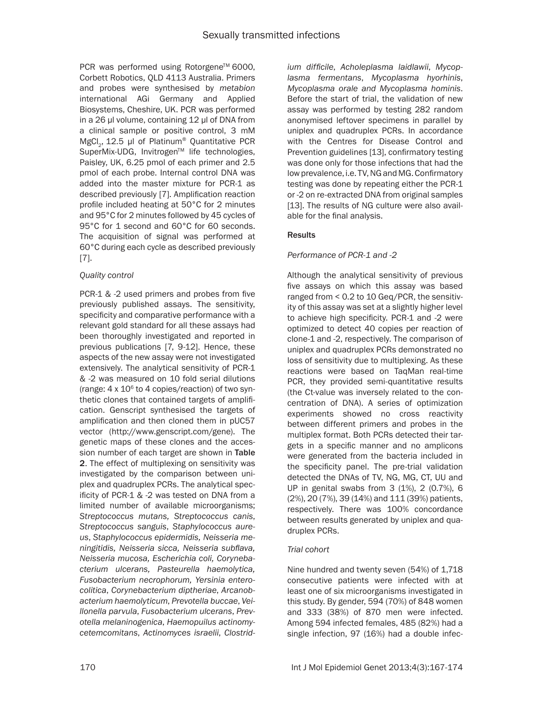PCR was performed using Rotorgene™ 6000, Corbett Robotics, QLD 4113 Australia. Primers and probes were synthesised by *metabion* international AGi Germany and Applied Biosystems, Cheshire, UK. PCR was performed in a 26 µl volume, containing 12 µl of DNA from a clinical sample or positive control, 3 mM MgCl<sub>2</sub>, 12.5 µl of Platinum<sup>®</sup> Quantitative PCR SuperMix-UDG, Invitrogen™ life technologies, Paisley, UK, 6.25 pmol of each primer and 2.5 pmol of each probe. Internal control DNA was added into the master mixture for PCR-1 as described previously [7]. Amplification reaction profile included heating at 50°C for 2 minutes and 95°C for 2 minutes followed by 45 cycles of 95°C for 1 second and 60°C for 60 seconds. The acquisition of signal was performed at 60°C during each cycle as described previously [7].

## *Quality control*

PCR-1 & -2 used primers and probes from five previously published assays. The sensitivity, specificity and comparative performance with a relevant gold standard for all these assays had been thoroughly investigated and reported in previous publications [7, 9-12]. Hence, these aspects of the new assay were not investigated extensively. The analytical sensitivity of PCR-1 & -2 was measured on 10 fold serial dilutions (range:  $4 \times 10^6$  to  $4$  copies/reaction) of two synthetic clones that contained targets of amplification. Genscript synthesised the targets of amplification and then cloned them in pUC57 vector (http://www.genscript.com/gene). The genetic maps of these clones and the accession number of each target are shown in Table 2. The effect of multiplexing on sensitivity was investigated by the comparison between uniplex and quadruplex PCRs. The analytical specificity of PCR-1 & -2 was tested on DNA from a limited number of available microorganisms; *Streptococcus mutans, Streptococcus canis*, *Streptococcus sanguis*, *Staphylococcus aureus*, *Staphylococcus epidermidis, Neisseria meningitidis, Neisseria sicca, Neisseria subflava, Neisseria mucosa, Escherichia coli, Corynebacterium ulcerans, Pasteurella haemolytica, Fusobacterium necrophorum, Yersinia enterocolitica*, *Corynebacterium diptheriae*, *Arcanobacterium haemolyticum*, *Prevotella buccae*, *Veillonella parvula*, *Fusobacterium ulcerans*, *Prevotella melaninogenica*, *Haemopuilus actinomycetemcomitans*, *Actinomyces israelii*, *Clostrid-* *ium difficile*, *Acholeplasma laidlawii*, *Mycoplasma fermentans*, *Mycoplasma hyorhinis*, *Mycoplasma orale and Mycoplasma hominis*. Before the start of trial, the validation of new assay was performed by testing 282 random anonymised leftover specimens in parallel by uniplex and quadruplex PCRs. In accordance with the Centres for Disease Control and Prevention guidelines [13], confirmatory testing was done only for those infections that had the low prevalence, i.e. TV, NG and MG. Confirmatory testing was done by repeating either the PCR-1 or -2 on re-extracted DNA from original samples [13]. The results of NG culture were also available for the final analysis.

## Results

## *Performance of PCR-1 and -2*

Although the analytical sensitivity of previous five assays on which this assay was based ranged from < 0.2 to 10 Geq/PCR, the sensitivity of this assay was set at a slightly higher level to achieve high specificity. PCR-1 and -2 were optimized to detect 40 copies per reaction of clone-1 and -2, respectively. The comparison of uniplex and quadruplex PCRs demonstrated no loss of sensitivity due to multiplexing. As these reactions were based on TaqMan real-time PCR, they provided semi-quantitative results (the Ct-value was inversely related to the concentration of DNA). A series of optimization experiments showed no cross reactivity between different primers and probes in the multiplex format. Both PCRs detected their targets in a specific manner and no amplicons were generated from the bacteria included in the specificity panel. The pre-trial validation detected the DNAs of TV, NG, MG, CT, UU and UP in genital swabs from 3 (1%), 2 (0.7%), 6 (2%), 20 (7%), 39 (14%) and 111 (39%) patients, respectively. There was 100% concordance between results generated by uniplex and quadruplex PCRs.

## *Trial cohort*

Nine hundred and twenty seven (54%) of 1,718 consecutive patients were infected with at least one of six microorganisms investigated in this study. By gender, 594 (70%) of 848 women and 333 (38%) of 870 men were infected. Among 594 infected females, 485 (82%) had a single infection, 97 (16%) had a double infec-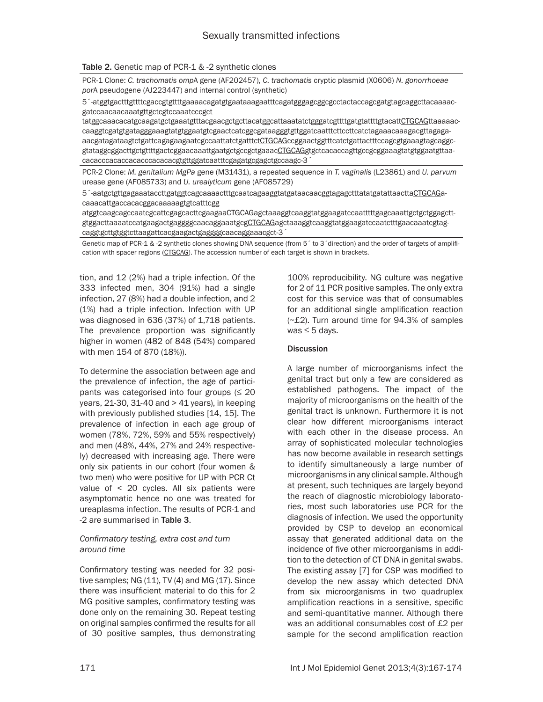#### Table 2. Genetic map of PCR-1 & -2 synthetic clones

PCR-1 Clone: *C. trachomatis omp*A gene (AF202457), *C. trachomatis* cryptic plasmid (X0606) *N. gonorrhoeae por*A pseudogene (AJ223447) and internal control (synthetic)

5´-atggtgactttgttttcgaccgtgttttgaaaacagatgtgaataaagaatttcagatgggagcggcgcctactaccagcgatgtagcaggcttacaaaacgatccaacaacaaatgttgctcgtccaaatcccgct

tatggcaaacacatgcaagatgctgaaatgtttacgaacgctgcttacatggcattaaatatctgggatcgttttgatgtattttgtacattCTGCAGttaaaaaccaaggtcgatgtgatagggaaagtatgtggaatgtcgaactcatcggcgataagggtgttggatcaatttcttccttcatctagaaacaaagacgttagagaaacgatagataagtctgattcagagaagaatcgccaattatctgatttctCTGCAGccggaactggtttcatctgattactttccagcgtgaaagtagcaggcgtataggcggacttgctgttttgactcggaacaaattgaatgctgccgctgaaacCTGCAGgtgctcacaccagttgccgcggaaagtatgtggaatgttaacacacccacaccacacccacacacgtgttggatcaatttcgagatgcgagctgccaagc-3´

PCR-2 Clone: *M. genitalium MgPa* gene (M31431), a repeated sequence in *T. vaginalis* (L23861) and *U. parvum* urease gene (AF085733) and *U. urealyticum* gene (AF085729)

5´-aatgctgttgagaaataccttgatggtcagcaaaactttgcaatcagaaggtatgataacaacggtagagctttatatgatattaacttaCTGCAGacaaacattgaccacacggacaaaaagtgtcatttcgg

atggtcaagcagccaatcgcattcgagcacttcgaagaaCTGCAGagctaaaggtcaaggtatggaagatccaatttttgagcaaattgctgctggagcttgtggacttaaaatccatgaagactgaggggcaacaggaaatgcgCTGCAGagctaaaggtcaaggtatggaagatccaatctttgaacaaatcgtagcaggtgcttgtggtcttaagattcacgaagactgaggggcaacaggaaacgct-3´

Genetic map of PCR-1 & -2 synthetic clones showing DNA sequence (from 5 to 3 'direction) and the order of targets of amplification with spacer regions (CTGCAG). The accession number of each target is shown in brackets.

tion, and 12 (2%) had a triple infection. Of the 333 infected men, 304 (91%) had a single infection, 27 (8%) had a double infection, and 2 (1%) had a triple infection. Infection with UP was diagnosed in 636 (37%) of 1,718 patients. The prevalence proportion was significantly higher in women (482 of 848 (54%) compared with men 154 of 870 (18%)).

To determine the association between age and the prevalence of infection, the age of participants was categorised into four groups  $(\leq 20)$ years,  $21-30$ ,  $31-40$  and  $> 41$  years), in keeping with previously published studies [14, 15]. The prevalence of infection in each age group of women (78%, 72%, 59% and 55% respectively) and men (48%, 44%, 27% and 24% respectively) decreased with increasing age. There were only six patients in our cohort (four women & two men) who were positive for UP with PCR Ct value of < 20 cycles. All six patients were asymptomatic hence no one was treated for ureaplasma infection. The results of PCR-1 and -2 are summarised in Table 3.

#### *Confirmatory testing, extra cost and turn around time*

Confirmatory testing was needed for 32 positive samples;  $NG(11)$ , TV $(4)$  and MG $(17)$ . Since there was insufficient material to do this for 2 MG positive samples, confirmatory testing was done only on the remaining 30. Repeat testing on original samples confirmed the results for all of 30 positive samples, thus demonstrating 100% reproducibility. NG culture was negative for 2 of 11 PCR positive samples. The only extra cost for this service was that of consumables for an additional single amplification reaction (~£2). Turn around time for 94.3% of samples was ≤ 5 days.

#### **Discussion**

A large number of microorganisms infect the genital tract but only a few are considered as established pathogens. The impact of the majority of microorganisms on the health of the genital tract is unknown. Furthermore it is not clear how different microorganisms interact with each other in the disease process. An array of sophisticated molecular technologies has now become available in research settings to identify simultaneously a large number of microorganisms in any clinical sample. Although at present, such techniques are largely beyond the reach of diagnostic microbiology laboratories, most such laboratories use PCR for the diagnosis of infection. We used the opportunity provided by CSP to develop an economical assay that generated additional data on the incidence of five other microorganisms in addition to the detection of CT DNA in genital swabs. The existing assay [7] for CSP was modified to develop the new assay which detected DNA from six microorganisms in two quadruplex amplification reactions in a sensitive, specific and semi-quantitative manner. Although there was an additional consumables cost of £2 per sample for the second amplification reaction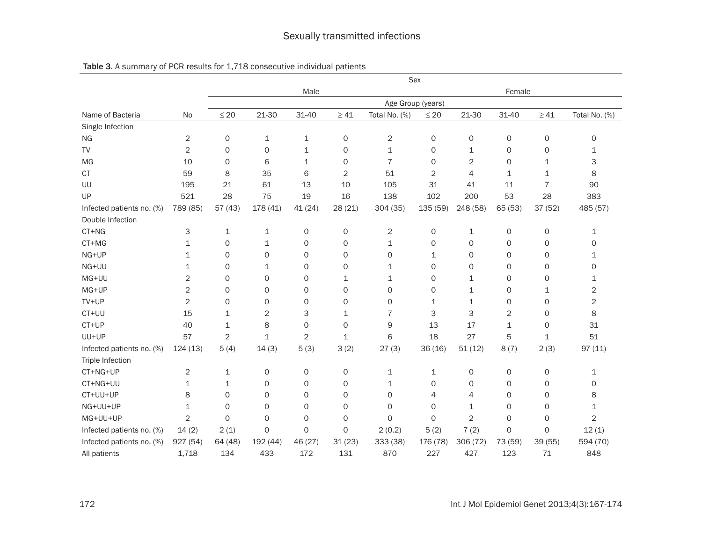|                           |                | Sex               |              |                |             |                |                     |                     |             |                     |                |  |
|---------------------------|----------------|-------------------|--------------|----------------|-------------|----------------|---------------------|---------------------|-------------|---------------------|----------------|--|
|                           |                | Male<br>Female    |              |                |             |                |                     |                     |             |                     |                |  |
|                           |                | Age Group (years) |              |                |             |                |                     |                     |             |                     |                |  |
| Name of Bacteria          | No             | $\leq 20$         | 21-30        | 31-40          | $\geq 41$   | Total No. (%)  | $\leq 20$           | 21-30               | $31 - 40$   | $\geq 41$           | Total No. (%)  |  |
| Single Infection          |                |                   |              |                |             |                |                     |                     |             |                     |                |  |
| <b>NG</b>                 | $\overline{c}$ | 0                 | $\mathbf{1}$ | $\mathbf 1$    | $\mathsf O$ | $\overline{c}$ | $\mathsf{O}\xspace$ | 0                   | 0           | $\mathsf O$         | $\circ$        |  |
| <b>TV</b>                 | $\overline{2}$ | 0                 | 0            | $\mathbf 1$    | 0           | 1              | 0                   | 1                   | 0           | $\circ$             | 1              |  |
| MG                        | 10             | $\mathsf{O}$      | 6            | $\mathbf{1}$   | $\circ$     | $\overline{7}$ | $\Omega$            | $\overline{2}$      | $\Omega$    | 1                   | 3              |  |
| <b>CT</b>                 | 59             | 8                 | 35           | 6              | 2           | 51             | 2                   | 4                   | 1           | 1                   | 8              |  |
| UU                        | 195            | 21                | 61           | 13             | 10          | 105            | 31                  | 41                  | 11          | $\overline{7}$      | 90             |  |
| UP                        | 521            | 28                | 75           | 19             | 16          | 138            | 102                 | 200                 | 53          | 28                  | 383            |  |
| Infected patients no. (%) | 789 (85)       | 57(43)            | 178 (41)     | 41 (24)        | 28(21)      | 304 (35)       | 135 (59)            | 248 (58)            | 65 (53)     | 37 (52)             | 485 (57)       |  |
| Double Infection          |                |                   |              |                |             |                |                     |                     |             |                     |                |  |
| CT+NG                     | 3              | $\mathbf 1$       | $\mathbf{1}$ | 0              | 0           | $\overline{c}$ | $\mathsf{O}\xspace$ | 1                   | 0           | 0                   | 1              |  |
| CT+MG                     | 1              | 0                 | 1            | 0              | 0           | 1              | 0                   | 0                   | 0           | 0                   | 0              |  |
| NG+UP                     | 1              | 0                 | $\Omega$     | 0              | 0           | $\Omega$       | 1                   | 0                   | 0           | 0                   | 1              |  |
| NG+UU                     | 1              | 0                 | $\mathbf{1}$ | 0              | 0           | 1              | 0                   | 0                   | O           | 0                   | 0              |  |
| MG+UU                     | $\mathbf{2}$   | 0                 | $\mathbf 0$  | 0              | 1           | 1              | 0                   | 1                   | 0           | $\circ$             | 1              |  |
| MG+UP                     | 2              | 0                 | 0            | 0              | 0           | 0              | 0                   | 1                   | 0           | 1                   | 2              |  |
| TV+UP                     | $\mathbf{2}$   | 0                 | 0            | 0              | 0           | 0              | 1                   | 1                   | 0           | $\circ$             | 2              |  |
| CT+UU                     | 15             | 1                 | 2            | 3              | $\mathbf 1$ | $\overline{7}$ | 3                   | 3                   | 2           | 0                   | 8              |  |
| CT+UP                     | 40             | 1                 | 8            | 0              | 0           | 9              | 13                  | 17                  | 1           | $\circ$             | 31             |  |
| UU+UP                     | 57             | 2                 | $\mathbf{1}$ | $\overline{2}$ | 1           | 6              | 18                  | 27                  | 5           | $\mathbf 1$         | 51             |  |
| Infected patients no. (%) | 124(13)        | 5(4)              | 14(3)        | 5(3)           | 3(2)        | 27(3)          | 36(16)              | 51(12)              | 8(7)        | 2(3)                | 97(11)         |  |
| Triple Infection          |                |                   |              |                |             |                |                     |                     |             |                     |                |  |
| CT+NG+UP                  | $\mathbf{2}$   | 1                 | $\mathsf O$  | 0              | 0           | $\mathbf 1$    | 1                   | $\mathsf{O}\xspace$ | 0           | 0                   | $\mathbf 1$    |  |
| CT+NG+UU                  | $\mathbf{1}$   | 1                 | 0            | 0              | 0           | 1              | 0                   | 0                   | 0           | $\circ$             | 0              |  |
| CT+UU+UP                  | 8              | 0                 | 0            | 0              | $\circ$     | 0              | 4                   | 4                   | 0           | $\circ$             | 8              |  |
| NG+UU+UP                  | $\mathbf 1$    | 0                 | $\mathbf 0$  | 0              | 0           | 0              | 0                   | 1                   | 0           | $\mathsf{O}\xspace$ | 1              |  |
| MG+UU+UP                  | $\overline{2}$ | $\mathsf{O}$      | 0            | 0              | 0           | $\mathbf 0$    | 0                   | $\overline{2}$      | 0           | $\mathsf{O}\xspace$ | $\overline{2}$ |  |
| Infected patients no. (%) | 14(2)          | 2(1)              | $\mathbf 0$  | $\mathbf 0$    | $\mathsf O$ | 2(0.2)         | 5(2)                | 7(2)                | $\mathbf 0$ | $\mathsf{O}\xspace$ | 12(1)          |  |
| Infected patients no. (%) | 927 (54)       | 64 (48)           | 192 (44)     | 46 (27)        | 31(23)      | 333 (38)       | 176 (78)            | 306 (72)            | 73 (59)     | 39 (55)             | 594 (70)       |  |
| All patients              | 1,718          | 134               | 433          | 172            | 131         | 870            | 227                 | 427                 | 123         | 71                  | 848            |  |

## Table 3. A summary of PCR results for 1,718 consecutive individual patients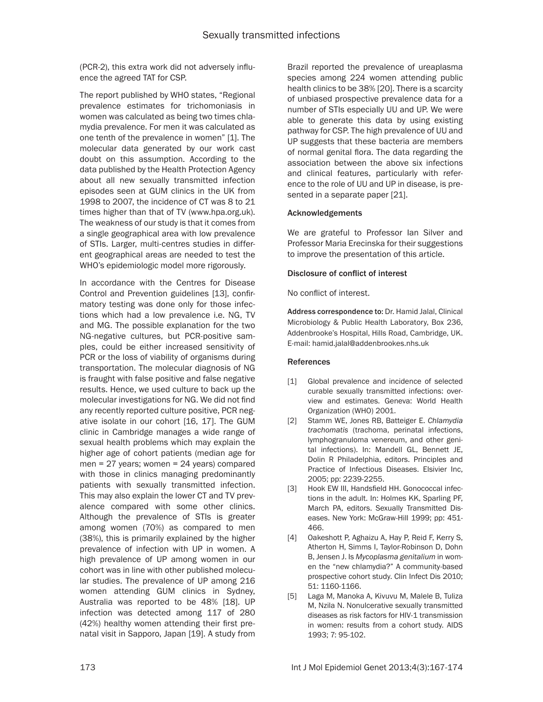(PCR-2), this extra work did not adversely influence the agreed TAT for CSP.

The report published by WHO states, "Regional prevalence estimates for trichomoniasis in women was calculated as being two times chlamydia prevalence. For men it was calculated as one tenth of the prevalence in women" [1]. The molecular data generated by our work cast doubt on this assumption. According to the data published by the Health Protection Agency about all new sexually transmitted infection episodes seen at GUM clinics in the UK from 1998 to 2007, the incidence of CT was 8 to 21 times higher than that of TV (www.hpa.org.uk). The weakness of our study is that it comes from a single geographical area with low prevalence of STIs. Larger, multi-centres studies in different geographical areas are needed to test the WHO's epidemiologic model more rigorously.

In accordance with the Centres for Disease Control and Prevention guidelines [13], confirmatory testing was done only for those infections which had a low prevalence i.e. NG, TV and MG. The possible explanation for the two NG-negative cultures, but PCR-positive samples, could be either increased sensitivity of PCR or the loss of viability of organisms during transportation. The molecular diagnosis of NG is fraught with false positive and false negative results. Hence, we used culture to back up the molecular investigations for NG. We did not find any recently reported culture positive, PCR negative isolate in our cohort [16, 17]. The GUM clinic in Cambridge manages a wide range of sexual health problems which may explain the higher age of cohort patients (median age for men = 27 years; women = 24 years) compared with those in clinics managing predominantly patients with sexually transmitted infection. This may also explain the lower CT and TV prevalence compared with some other clinics. Although the prevalence of STIs is greater among women (70%) as compared to men (38%), this is primarily explained by the higher prevalence of infection with UP in women. A high prevalence of UP among women in our cohort was in line with other published molecular studies. The prevalence of UP among 216 women attending GUM clinics in Sydney, Australia was reported to be 48% [18]. UP infection was detected among 117 of 280 (42%) healthy women attending their first prenatal visit in Sapporo, Japan [19]. A study from

Brazil reported the prevalence of ureaplasma species among 224 women attending public health clinics to be 38% [20]. There is a scarcity of unbiased prospective prevalence data for a number of STIs especially UU and UP. We were able to generate this data by using existing pathway for CSP. The high prevalence of UU and UP suggests that these bacteria are members of normal genital flora. The data regarding the association between the above six infections and clinical features, particularly with reference to the role of UU and UP in disease, is presented in a separate paper [21].

#### Acknowledgements

We are grateful to Professor Ian Silver and Professor Maria Erecinska for their suggestions to improve the presentation of this article.

## Disclosure of conflict of interest

No conflict of interest.

Address correspondence to: Dr. Hamid Jalal, Clinical Microbiology & Public Health Laboratory, Box 236, Addenbrooke's Hospital, Hills Road, Cambridge, UK. E-mail: [hamid.jalal@addenbrookes.nhs.uk](mailto:hamid.jalal@addenbrookes.nhs.uk)

#### References

- [1] Global prevalence and incidence of selected curable sexually transmitted infections: overview and estimates. Geneva: World Health Organization (WHO) 2001.
- [2] Stamm WE, Jones RB, Batteiger E. *Chlamydia trachomatis* (trachoma, perinatal infections, lymphogranuloma venereum, and other genital infections). In: Mandell GL, Bennett JE, Dolin R Philadelphia, editors. Principles and Practice of Infectious Diseases. Elsivier Inc, 2005; pp: 2239-2255.
- [3] Hook EW III, Handsfield HH. Gonococcal infections in the adult. In: Holmes KK, Sparling PF, March PA, editors. Sexually Transmitted Diseases. New York: McGraw-Hill 1999; pp: 451- 466.
- [4] Oakeshott P, Aghaizu A, Hay P, Reid F, Kerry S, Atherton H, Simms I, Taylor-Robinson D, Dohn B, Jensen J. Is *Mycoplasma genitalium* in women the "new chlamydia?" A community-based prospective cohort study. Clin Infect Dis 2010; 51: 1160-1166.
- [5] Laga M, Manoka A, Kivuvu M, Malele B, Tuliza M, Nzila N. Nonulcerative sexually transmitted diseases as risk factors for HIV-1 transmission in women: results from a cohort study. AIDS 1993; 7: 95-102.